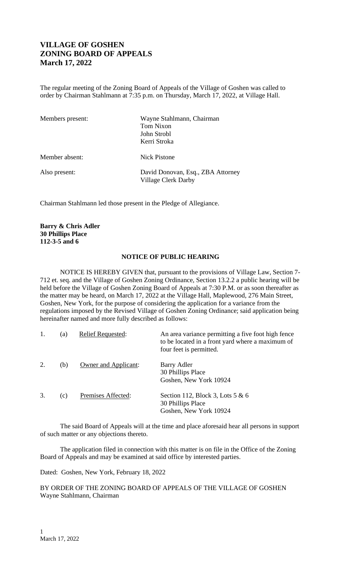# **VILLAGE OF GOSHEN ZONING BOARD OF APPEALS March 17, 2022**

The regular meeting of the Zoning Board of Appeals of the Village of Goshen was called to order by Chairman Stahlmann at 7:35 p.m. on Thursday, March 17, 2022, at Village Hall.

| Members present: | Wayne Stahlmann, Chairman<br>Tom Nixon<br>John Strobl<br>Kerri Stroka |
|------------------|-----------------------------------------------------------------------|
| Member absent:   | <b>Nick Pistone</b>                                                   |
| Also present:    | David Donovan, Esq., ZBA Attorney<br><b>Village Clerk Darby</b>       |

Chairman Stahlmann led those present in the Pledge of Allegiance.

## **Barry & Chris Adler 30 Phillips Place 112-3-5 and 6**

#### **NOTICE OF PUBLIC HEARING**

NOTICE IS HEREBY GIVEN that, pursuant to the provisions of Village Law, Section 7- 712 et. seq. and the Village of Goshen Zoning Ordinance, Section 13.2.2 a public hearing will be held before the Village of Goshen Zoning Board of Appeals at 7:30 P.M. or as soon thereafter as the matter may be heard, on March 17, 2022 at the Village Hall, Maplewood, 276 Main Street, Goshen, New York, for the purpose of considering the application for a variance from the regulations imposed by the Revised Village of Goshen Zoning Ordinance; said application being hereinafter named and more fully described as follows:

| 1. | (a) | <b>Relief Requested:</b>    | An area variance permitting a five foot high fence<br>to be located in a front yard where a maximum of<br>four feet is permitted. |
|----|-----|-----------------------------|-----------------------------------------------------------------------------------------------------------------------------------|
|    | (b) | <b>Owner and Applicant:</b> | Barry Adler<br>30 Phillips Place<br>Goshen, New York 10924                                                                        |
| 3. | (c) | Premises Affected:          | Section 112, Block 3, Lots 5 & 6<br>30 Phillips Place<br>Goshen, New York 10924                                                   |

The said Board of Appeals will at the time and place aforesaid hear all persons in support of such matter or any objections thereto.

The application filed in connection with this matter is on file in the Office of the Zoning Board of Appeals and may be examined at said office by interested parties.

Dated: Goshen, New York, February 18, 2022

## BY ORDER OF THE ZONING BOARD OF APPEALS OF THE VILLAGE OF GOSHEN Wayne Stahlmann, Chairman